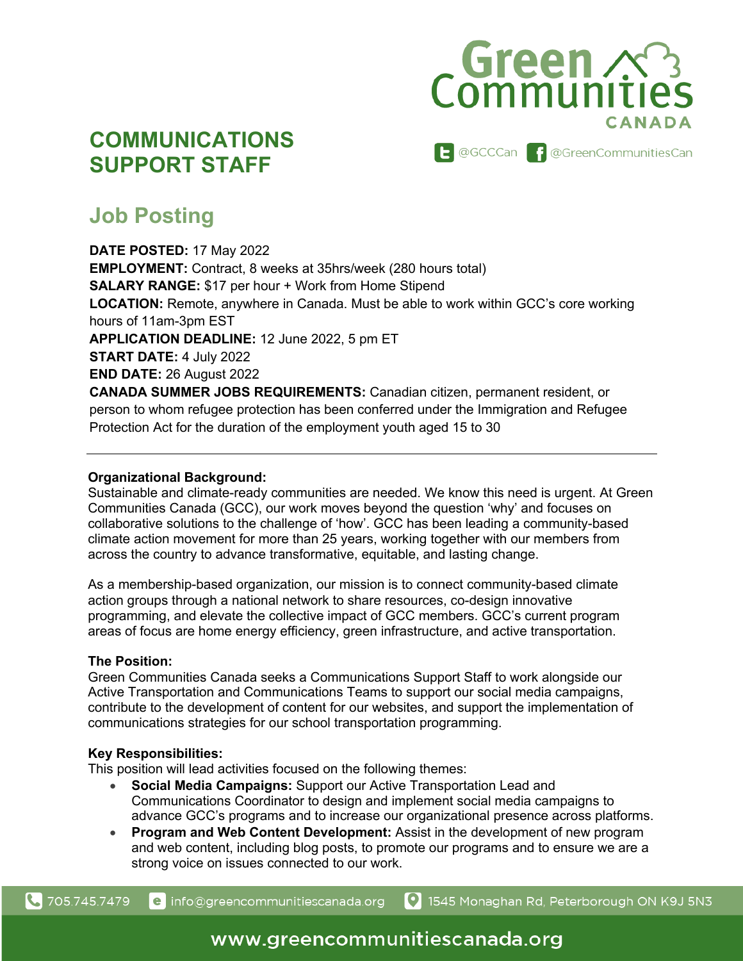## Green 23

### **COMMUNICATIONS SUPPORT STAFF**

**E** @GCCCan **f** @GreenCommunitiesCan

## **Job Posting**

**DATE POSTED:** 17 May 2022 **EMPLOYMENT:** Contract, 8 weeks at 35hrs/week (280 hours total) **SALARY RANGE:** \$17 per hour + Work from Home Stipend **LOCATION:** Remote, anywhere in Canada. Must be able to work within GCC's core working hours of 11am-3pm EST **APPLICATION DEADLINE:** 12 June 2022, 5 pm ET **START DATE:** 4 July 2022 **END DATE:** 26 August 2022 **CANADA SUMMER JOBS REQUIREMENTS:** Canadian citizen, permanent resident, or person to whom refugee protection has been conferred under the Immigration and Refugee Protection Act for the duration of the employment youth aged 15 to 30

#### **Organizational Background:**

Sustainable and climate-ready communities are needed. We know this need is urgent. At Green Communities Canada (GCC), our work moves beyond the question 'why' and focuses on collaborative solutions to the challenge of 'how'. GCC has been leading a community-based climate action movement for more than 25 years, working together with our members from across the country to advance transformative, equitable, and lasting change.

As a membership-based organization, our mission is to connect community-based climate action groups through a national network to share resources, co-design innovative programming, and elevate the collective impact of GCC members. GCC's current program areas of focus are home energy efficiency, green infrastructure, and active transportation.

#### **The Position:**

Green Communities Canada seeks a Communications Support Staff to work alongside our Active Transportation and Communications Teams to support our social media campaigns, contribute to the development of content for our websites, and support the implementation of communications strategies for our school transportation programming.

#### **Key Responsibilities:**

This position will lead activities focused on the following themes:

- **Social Media Campaigns:** Support our Active Transportation Lead and Communications Coordinator to design and implement social media campaigns to advance GCC's programs and to increase our organizational presence across platforms.
- **Program and Web Content Development:** Assist in the development of new program and web content, including blog posts, to promote our programs and to ensure we are a strong voice on issues connected to our work.

**4** 705.745.7479

1545 Monaghan Rd, Peterborough ON K9J 5N3 e info@greencommunitiescanada.org